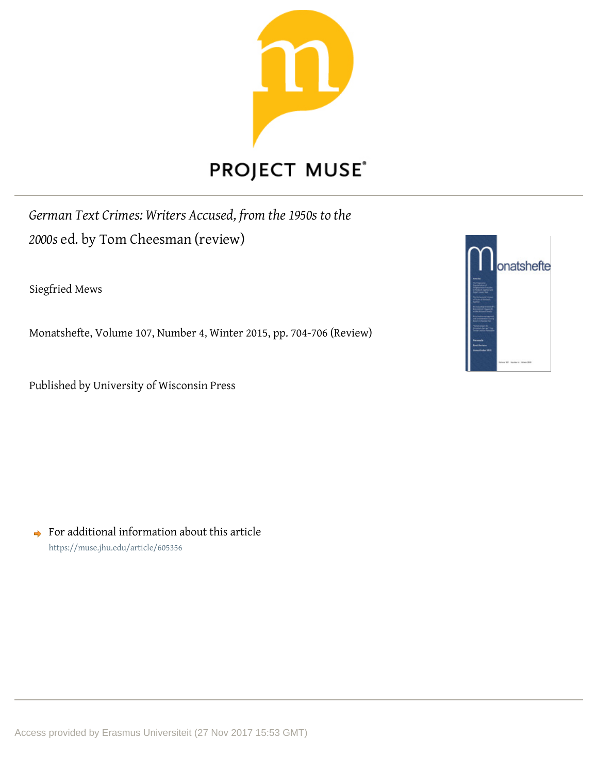

## PROJECT MUSE®

*German Text Crimes: Writers Accused, from the 1950s to the 2000s* ed. by Tom Cheesman (review)

Siegfried Mews

Monatshefte, Volume 107, Number 4, Winter 2015, pp. 704-706 (Review)

Published by University of Wisconsin Press



 $\rightarrow$  For additional information about this article <https://muse.jhu.edu/article/605356>

Access provided by Erasmus Universiteit (27 Nov 2017 15:53 GMT)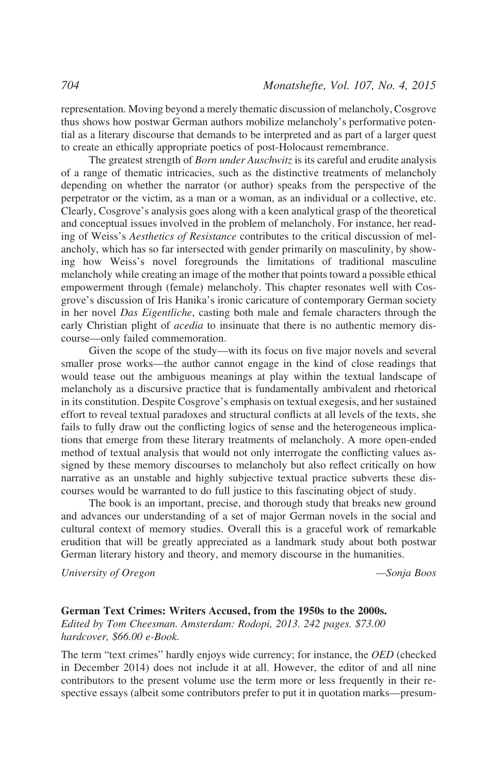representation. Moving beyond a merely thematic discussion of melancholy, Cosgrove thus shows how postwar German authors mobilize melancholy's performative potential as a literary discourse that demands to be interpreted and as part of a larger quest to create an ethically appropriate poetics of post-Holocaust remembrance.

The greatest strength of *Born under Auschwitz* is its careful and erudite analysis of a range of thematic intricacies, such as the distinctive treatments of melancholy depending on whether the narrator (or author) speaks from the perspective of the perpetrator or the victim, as a man or a woman, as an individual or a collective, etc. Clearly, Cosgrove's analysis goes along with a keen analytical grasp of the theoretical and conceptual issues involved in the problem of melancholy. For instance, her reading of Weiss's *Aesthetics of Resistance* contributes to the critical discussion of melancholy, which has so far intersected with gender primarily on masculinity, by showing how Weiss's novel foregrounds the limitations of traditional masculine melancholy while creating an image of the mother that points toward a possible ethical empowerment through (female) melancholy. This chapter resonates well with Cosgrove's discussion of Iris Hanika's ironic caricature of contemporary German society in her novel *Das Eigentliche*, casting both male and female characters through the early Christian plight of *acedia* to insinuate that there is no authentic memory discourse—only failed commemoration.

Given the scope of the study—with its focus on five major novels and several smaller prose works—the author cannot engage in the kind of close readings that would tease out the ambiguous meanings at play within the textual landscape of melancholy as a discursive practice that is fundamentally ambivalent and rhetorical in its constitution. Despite Cosgrove's emphasis on textual exegesis, and her sustained effort to reveal textual paradoxes and structural conflicts at all levels of the texts, she fails to fully draw out the conflicting logics of sense and the heterogeneous implications that emerge from these literary treatments of melancholy. A more open-ended method of textual analysis that would not only interrogate the conflicting values assigned by these memory discourses to melancholy but also reflect critically on how narrative as an unstable and highly subjective textual practice subverts these discourses would be warranted to do full justice to this fascinating object of study.

The book is an important, precise, and thorough study that breaks new ground and advances our understanding of a set of major German novels in the social and cultural context of memory studies. Overall this is a graceful work of remarkable erudition that will be greatly appreciated as a landmark study about both postwar German literary history and theory, and memory discourse in the humanities.

*University of Oregon* — Sonja Boos

## **German Text Crimes: Writers Accused, from the 1950s to the 2000s.**

*Edited by Tom Cheesman. Amsterdam: Rodopi, 2013. 242 pages. \$73.00 hardcover, \$66.00 e-Book.*

The term "text crimes" hardly enjoys wide currency; for instance, the *OED* (checked in December 2014) does not include it at all. However, the editor of and all nine contributors to the present volume use the term more or less frequently in their respective essays (albeit some contributors prefer to put it in quotation marks—presum-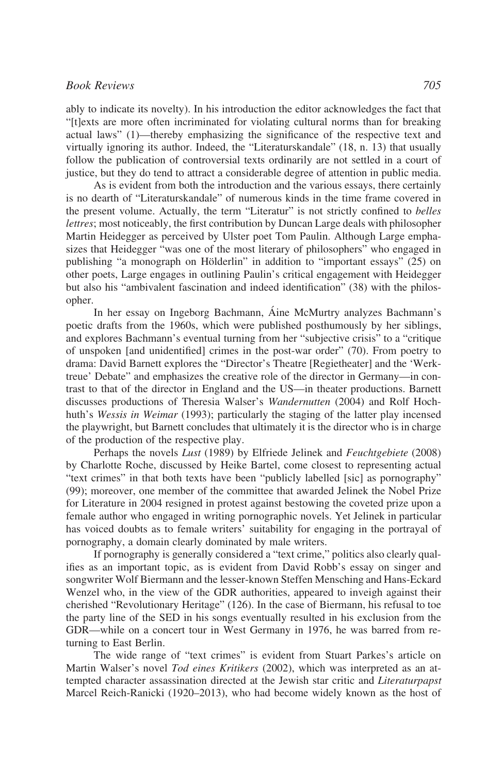## *Book Reviews 705*

ably to indicate its novelty). In his introduction the editor acknowledges the fact that "[t]exts are more often incriminated for violating cultural norms than for breaking actual laws" (1)—thereby emphasizing the significance of the respective text and virtually ignoring its author. Indeed, the "Literaturskandale" (18, n. 13) that usually follow the publication of controversial texts ordinarily are not settled in a court of justice, but they do tend to attract a considerable degree of attention in public media.

As is evident from both the introduction and the various essays, there certainly is no dearth of "Literaturskandale" of numerous kinds in the time frame covered in the present volume. Actually, the term "Literatur" is not strictly confined to *belles lettres*; most noticeably, the first contribution by Duncan Large deals with philosopher Martin Heidegger as perceived by Ulster poet Tom Paulin. Although Large emphasizes that Heidegger "was one of the most literary of philosophers" who engaged in publishing "a monograph on Hölderlin" in addition to "important essays"  $(25)$  on other poets, Large engages in outlining Paulin's critical engagement with Heidegger but also his "ambivalent fascination and indeed identification" (38) with the philosopher.

In her essay on Ingeborg Bachmann, Aine McMurtry analyzes Bachmann's poetic drafts from the 1960s, which were published posthumously by her siblings, and explores Bachmann's eventual turning from her "subjective crisis" to a "critique of unspoken [and unidentified] crimes in the post-war order" (70). From poetry to drama: David Barnett explores the "Director's Theatre [Regietheater] and the 'Werktreue' Debate" and emphasizes the creative role of the director in Germany—in contrast to that of the director in England and the US—in theater productions. Barnett discusses productions of Theresia Walser's *Wandernutten* (2004) and Rolf Hochhuth's *Wessis in Weimar* (1993); particularly the staging of the latter play incensed the playwright, but Barnett concludes that ultimately it is the director who is in charge of the production of the respective play.

Perhaps the novels *Lust* (1989) by Elfriede Jelinek and *Feuchtgebiete* (2008) by Charlotte Roche, discussed by Heike Bartel, come closest to representing actual "text crimes" in that both texts have been "publicly labelled [sic] as pornography" (99); moreover, one member of the committee that awarded Jelinek the Nobel Prize for Literature in 2004 resigned in protest against bestowing the coveted prize upon a female author who engaged in writing pornographic novels. Yet Jelinek in particular has voiced doubts as to female writers' suitability for engaging in the portrayal of pornography, a domain clearly dominated by male writers.

If pornography is generally considered a "text crime," politics also clearly qualifies as an important topic, as is evident from David Robb's essay on singer and songwriter Wolf Biermann and the lesser-known Steffen Mensching and Hans-Eckard Wenzel who, in the view of the GDR authorities, appeared to inveigh against their cherished "Revolutionary Heritage" (126). In the case of Biermann, his refusal to toe the party line of the SED in his songs eventually resulted in his exclusion from the GDR—while on a concert tour in West Germany in 1976, he was barred from returning to East Berlin.

The wide range of "text crimes" is evident from Stuart Parkes's article on Martin Walser's novel *Tod eines Kritikers* (2002), which was interpreted as an attempted character assassination directed at the Jewish star critic and *Literaturpapst* Marcel Reich-Ranicki (1920–2013), who had become widely known as the host of